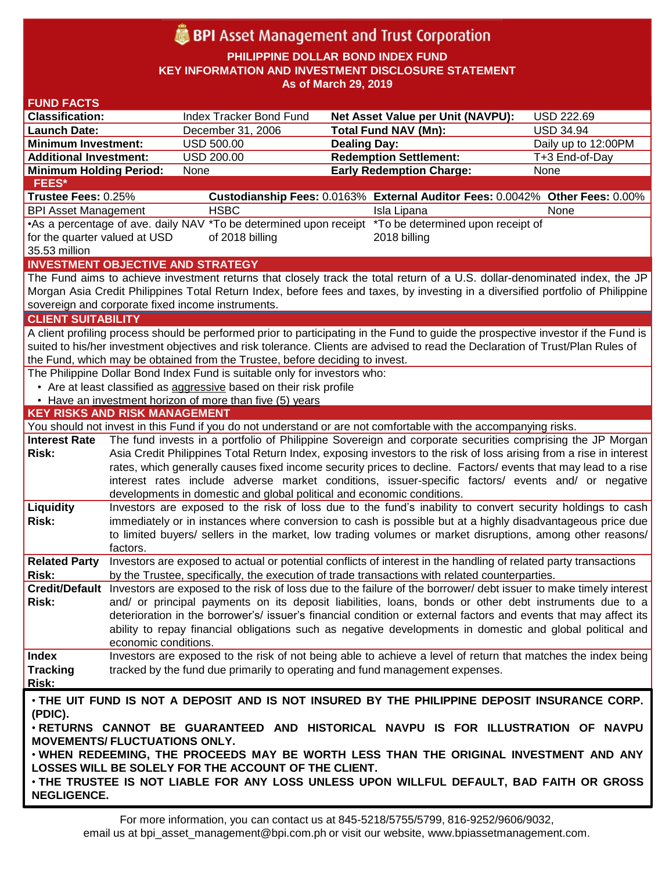# **BPI** Asset Management and Trust Corporation

**PHILIPPINE DOLLAR BOND INDEX FUND KEY INFORMATION AND INVESTMENT DISCLOSURE STATEMENT As of March 29, 2019**

| <b>FUND FACTS</b>                                                                            |                                                                                                                                                                                                                         |                                                                              |                     |                                                                                                                                    |                     |  |  |  |
|----------------------------------------------------------------------------------------------|-------------------------------------------------------------------------------------------------------------------------------------------------------------------------------------------------------------------------|------------------------------------------------------------------------------|---------------------|------------------------------------------------------------------------------------------------------------------------------------|---------------------|--|--|--|
| <b>Classification:</b>                                                                       |                                                                                                                                                                                                                         | <b>Index Tracker Bond Fund</b>                                               |                     | <b>Net Asset Value per Unit (NAVPU):</b>                                                                                           | USD 222.69          |  |  |  |
| <b>Launch Date:</b>                                                                          |                                                                                                                                                                                                                         | December 31, 2006                                                            |                     | <b>Total Fund NAV (Mn):</b>                                                                                                        | <b>USD 34.94</b>    |  |  |  |
| <b>Minimum Investment:</b>                                                                   |                                                                                                                                                                                                                         | <b>USD 500.00</b>                                                            | <b>Dealing Day:</b> |                                                                                                                                    | Daily up to 12:00PM |  |  |  |
| <b>Additional Investment:</b>                                                                |                                                                                                                                                                                                                         | <b>USD 200.00</b>                                                            |                     | <b>Redemption Settlement:</b>                                                                                                      | T+3 End-of-Day      |  |  |  |
| <b>Minimum Holding Period:</b>                                                               |                                                                                                                                                                                                                         | None                                                                         |                     | <b>Early Redemption Charge:</b>                                                                                                    | <b>None</b>         |  |  |  |
| FEES*                                                                                        |                                                                                                                                                                                                                         |                                                                              |                     |                                                                                                                                    |                     |  |  |  |
| Trustee Fees: 0.25%                                                                          |                                                                                                                                                                                                                         |                                                                              |                     | Custodianship Fees: 0.0163% External Auditor Fees: 0.0042% Other Fees: 0.00%                                                       |                     |  |  |  |
| <b>BPI Asset Management</b>                                                                  |                                                                                                                                                                                                                         | <b>HSBC</b>                                                                  |                     | Isla Lipana                                                                                                                        | None                |  |  |  |
|                                                                                              | •As a percentage of ave. daily NAV *To be determined upon receipt *To be determined upon receipt of                                                                                                                     |                                                                              |                     |                                                                                                                                    |                     |  |  |  |
| for the quarter valued at USD                                                                |                                                                                                                                                                                                                         | of 2018 billing                                                              |                     | 2018 billing                                                                                                                       |                     |  |  |  |
| 35.53 million                                                                                |                                                                                                                                                                                                                         |                                                                              |                     |                                                                                                                                    |                     |  |  |  |
|                                                                                              |                                                                                                                                                                                                                         | <b>INVESTMENT OBJECTIVE AND STRATEGY</b>                                     |                     |                                                                                                                                    |                     |  |  |  |
|                                                                                              |                                                                                                                                                                                                                         |                                                                              |                     | The Fund aims to achieve investment returns that closely track the total return of a U.S. dollar-denominated index, the JP         |                     |  |  |  |
|                                                                                              |                                                                                                                                                                                                                         |                                                                              |                     | Morgan Asia Credit Philippines Total Return Index, before fees and taxes, by investing in a diversified portfolio of Philippine    |                     |  |  |  |
|                                                                                              |                                                                                                                                                                                                                         | sovereign and corporate fixed income instruments.                            |                     |                                                                                                                                    |                     |  |  |  |
| <b>CLIENT SUITABILITY</b>                                                                    |                                                                                                                                                                                                                         |                                                                              |                     |                                                                                                                                    |                     |  |  |  |
|                                                                                              |                                                                                                                                                                                                                         |                                                                              |                     | A client profiling process should be performed prior to participating in the Fund to guide the prospective investor if the Fund is |                     |  |  |  |
|                                                                                              |                                                                                                                                                                                                                         |                                                                              |                     | suited to his/her investment objectives and risk tolerance. Clients are advised to read the Declaration of Trust/Plan Rules of     |                     |  |  |  |
|                                                                                              |                                                                                                                                                                                                                         | the Fund, which may be obtained from the Trustee, before deciding to invest. |                     |                                                                                                                                    |                     |  |  |  |
|                                                                                              |                                                                                                                                                                                                                         | The Philippine Dollar Bond Index Fund is suitable only for investors who:    |                     |                                                                                                                                    |                     |  |  |  |
|                                                                                              |                                                                                                                                                                                                                         | • Are at least classified as aggressive based on their risk profile          |                     |                                                                                                                                    |                     |  |  |  |
|                                                                                              |                                                                                                                                                                                                                         | • Have an investment horizon of more than five (5) years                     |                     |                                                                                                                                    |                     |  |  |  |
| <b>KEY RISKS AND RISK MANAGEMENT</b>                                                         |                                                                                                                                                                                                                         |                                                                              |                     |                                                                                                                                    |                     |  |  |  |
|                                                                                              |                                                                                                                                                                                                                         |                                                                              |                     | You should not invest in this Fund if you do not understand or are not comfortable with the accompanying risks.                    |                     |  |  |  |
| <b>Interest Rate</b>                                                                         |                                                                                                                                                                                                                         |                                                                              |                     | The fund invests in a portfolio of Philippine Sovereign and corporate securities comprising the JP Morgan                          |                     |  |  |  |
| Risk:                                                                                        | Asia Credit Philippines Total Return Index, exposing investors to the risk of loss arising from a rise in interest                                                                                                      |                                                                              |                     |                                                                                                                                    |                     |  |  |  |
|                                                                                              | rates, which generally causes fixed income security prices to decline. Factors/ events that may lead to a rise<br>interest rates include adverse market conditions, issuer-specific factors/ events and/ or negative    |                                                                              |                     |                                                                                                                                    |                     |  |  |  |
|                                                                                              |                                                                                                                                                                                                                         |                                                                              |                     |                                                                                                                                    |                     |  |  |  |
| Liquidity                                                                                    |                                                                                                                                                                                                                         | developments in domestic and global political and economic conditions.       |                     | Investors are exposed to the risk of loss due to the fund's inability to convert security holdings to cash                         |                     |  |  |  |
| Risk:                                                                                        |                                                                                                                                                                                                                         |                                                                              |                     |                                                                                                                                    |                     |  |  |  |
|                                                                                              | immediately or in instances where conversion to cash is possible but at a highly disadvantageous price due<br>to limited buyers/ sellers in the market, low trading volumes or market disruptions, among other reasons/ |                                                                              |                     |                                                                                                                                    |                     |  |  |  |
|                                                                                              | factors.                                                                                                                                                                                                                |                                                                              |                     |                                                                                                                                    |                     |  |  |  |
| <b>Related Party</b>                                                                         |                                                                                                                                                                                                                         |                                                                              |                     | Investors are exposed to actual or potential conflicts of interest in the handling of related party transactions                   |                     |  |  |  |
| <b>Risk:</b>                                                                                 |                                                                                                                                                                                                                         |                                                                              |                     | by the Trustee, specifically, the execution of trade transactions with related counterparties.                                     |                     |  |  |  |
|                                                                                              |                                                                                                                                                                                                                         |                                                                              |                     | Credit/Default Investors are exposed to the risk of loss due to the failure of the borrower/debt issuer to make timely interest    |                     |  |  |  |
| Risk:                                                                                        |                                                                                                                                                                                                                         |                                                                              |                     | and/ or principal payments on its deposit liabilities, loans, bonds or other debt instruments due to a                             |                     |  |  |  |
|                                                                                              |                                                                                                                                                                                                                         |                                                                              |                     | deterioration in the borrower's/ issuer's financial condition or external factors and events that may affect its                   |                     |  |  |  |
|                                                                                              |                                                                                                                                                                                                                         |                                                                              |                     | ability to repay financial obligations such as negative developments in domestic and global political and                          |                     |  |  |  |
|                                                                                              | economic conditions.                                                                                                                                                                                                    |                                                                              |                     |                                                                                                                                    |                     |  |  |  |
| <b>Index</b>                                                                                 |                                                                                                                                                                                                                         |                                                                              |                     | Investors are exposed to the risk of not being able to achieve a level of return that matches the index being                      |                     |  |  |  |
| <b>Tracking</b>                                                                              |                                                                                                                                                                                                                         | tracked by the fund due primarily to operating and fund management expenses. |                     |                                                                                                                                    |                     |  |  |  |
| Risk:                                                                                        |                                                                                                                                                                                                                         |                                                                              |                     |                                                                                                                                    |                     |  |  |  |
| . THE UIT FUND IS NOT A DEPOSIT AND IS NOT INSURED BY THE PHILIPPINE DEPOSIT INSURANCE CORP. |                                                                                                                                                                                                                         |                                                                              |                     |                                                                                                                                    |                     |  |  |  |
| (PDIC).                                                                                      |                                                                                                                                                                                                                         |                                                                              |                     |                                                                                                                                    |                     |  |  |  |
| . RETURNS CANNOT BE GUARANTEED AND HISTORICAL NAVPU IS FOR ILLUSTRATION OF NAVPU             |                                                                                                                                                                                                                         |                                                                              |                     |                                                                                                                                    |                     |  |  |  |
| <b>MOVEMENTS/FLUCTUATIONS ONLY.</b>                                                          |                                                                                                                                                                                                                         |                                                                              |                     |                                                                                                                                    |                     |  |  |  |
|                                                                                              |                                                                                                                                                                                                                         |                                                                              |                     | . WHEN REDEEMING, THE PROCEEDS MAY BE WORTH LESS THAN THE ORIGINAL INVESTMENT AND ANY                                              |                     |  |  |  |
|                                                                                              |                                                                                                                                                                                                                         | LOSSES WILL BE SOLELY FOR THE ACCOUNT OF THE CLIENT.                         |                     |                                                                                                                                    |                     |  |  |  |
|                                                                                              |                                                                                                                                                                                                                         |                                                                              |                     |                                                                                                                                    |                     |  |  |  |
|                                                                                              | . THE TRUSTEE IS NOT LIABLE FOR ANY LOSS UNLESS UPON WILLFUL DEFAULT, BAD FAITH OR GROSS<br><b>NEGLIGENCE.</b>                                                                                                          |                                                                              |                     |                                                                                                                                    |                     |  |  |  |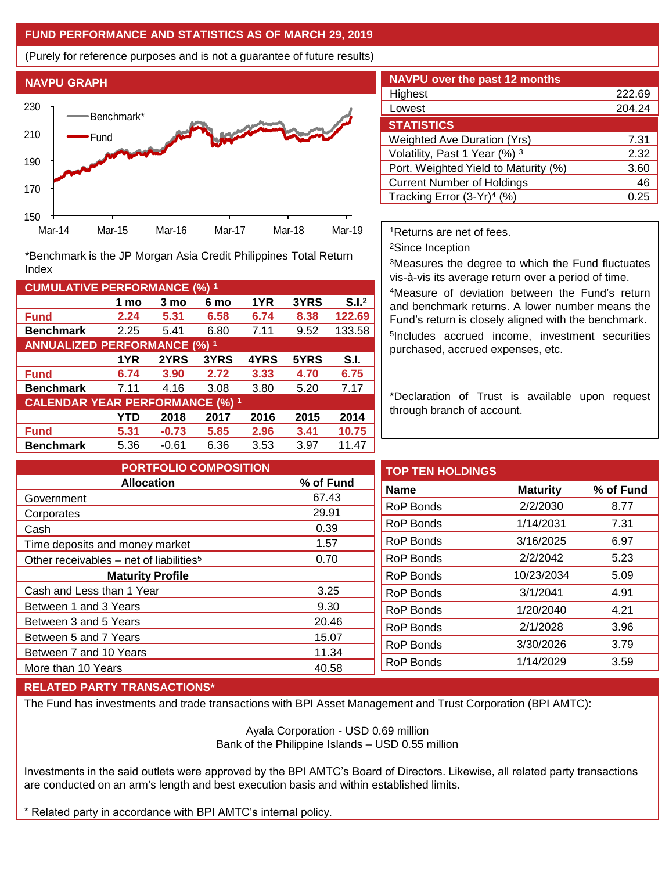## **FUND PERFORMANCE AND STATISTICS AS OF MARCH 29, 2019**

(Purely for reference purposes and is not a guarantee of future results)



**Fund 2.24 5.31 6.58 6.74 8.38 122.69 Benchmark** 2.25 5.41 6.80 7.11 9.52 133.58

\*Benchmark is the JP Morgan Asia Credit Philippines Total Return

**Fund 6.74 3.90 2.72 3.33 4.70 6.75 Benchmark** 7.11 4.16 3.08 3.80 5.20 7.17

**Fund 5.31 -0.73 5.85 2.96 3.41 10.75 Benchmark** 5.36 -0.61 6.36 3.53 3.97 11.47

**1 mo 3 mo 6 mo 1YR 3YRS S.I.<sup>2</sup>**

**1YR 2YRS 3YRS 4YRS 5YRS S.I.**

**YTD 2018 2017 2016 2015 2014**

| <b>NAVPU over the past 12 months</b>   |        |  |  |  |  |
|----------------------------------------|--------|--|--|--|--|
| Highest                                | 222.69 |  |  |  |  |
| Lowest                                 | 204.24 |  |  |  |  |
| <b>STATISTICS</b>                      |        |  |  |  |  |
| <b>Weighted Ave Duration (Yrs)</b>     | 7.31   |  |  |  |  |
| Volatility, Past 1 Year (%) 3          | 2.32   |  |  |  |  |
| Port. Weighted Yield to Maturity (%)   | 3.60   |  |  |  |  |
| <b>Current Number of Holdings</b>      | 46     |  |  |  |  |
| Tracking Error (3-Yr) <sup>4</sup> (%) | 0.25   |  |  |  |  |

<sup>1</sup>Returns are net of fees.

<sup>2</sup>Since Inception

<sup>3</sup>Measures the degree to which the Fund fluctuates vis-à-vis its average return over a period of time.

<sup>4</sup>Measure of deviation between the Fund's return and benchmark returns. A lower number means the Fund's return is closely aligned with the benchmark. 5 Includes accrued income, investment securities purchased, accrued expenses, etc.

\*Declaration of Trust is available upon request through branch of account.

| <b>PORTFOLIO COMPOSITION</b>                        |           | <b>TOP TEN HOLDINGS</b> |                 |           |
|-----------------------------------------------------|-----------|-------------------------|-----------------|-----------|
| <b>Allocation</b>                                   | % of Fund | <b>Name</b>             | <b>Maturity</b> | % of Fund |
| Government                                          | 67.43     |                         |                 |           |
| Corporates                                          | 29.91     | RoP Bonds               | 2/2/2030        | 8.77      |
| Cash                                                | 0.39      | <b>RoP Bonds</b>        | 1/14/2031       | 7.31      |
| Time deposits and money market                      | 1.57      | RoP Bonds               | 3/16/2025       | 6.97      |
| Other receivables - net of liabilities <sup>5</sup> | 0.70      | RoP Bonds               | 2/2/2042        | 5.23      |
| <b>Maturity Profile</b>                             |           | RoP Bonds               | 10/23/2034      | 5.09      |
| Cash and Less than 1 Year                           | 3.25      | RoP Bonds               | 3/1/2041        | 4.91      |
| Between 1 and 3 Years                               | 9.30      | RoP Bonds               | 1/20/2040       | 4.21      |
| Between 3 and 5 Years                               | 20.46     |                         | 2/1/2028        |           |
| Between 5 and 7 Years                               | 15.07     | <b>RoP Bonds</b>        |                 | 3.96      |
| Between 7 and 10 Years                              | 11.34     | RoP Bonds               | 3/30/2026       | 3.79      |
| More than 10 Years                                  | 40.58     | <b>RoP Bonds</b>        | 1/14/2029       | 3.59      |
|                                                     |           |                         |                 |           |

## **RELATED PARTY TRANSACTIONS\***

**CUMULATIVE PERFORMANCE (%) <sup>1</sup>**

Index

**ANNUALIZED PERFORMANCE (%) <sup>1</sup>**

**CALENDAR YEAR PERFORMANCE (%) <sup>1</sup>**

The Fund has investments and trade transactions with BPI Asset Management and Trust Corporation (BPI AMTC):

Ayala Corporation - USD 0.69 million Bank of the Philippine Islands – USD 0.55 million

Investments in the said outlets were approved by the BPI AMTC's Board of Directors. Likewise, all related party transactions are conducted on an arm's length and best execution basis and within established limits.

\* Related party in accordance with BPI AMTC's internal policy.